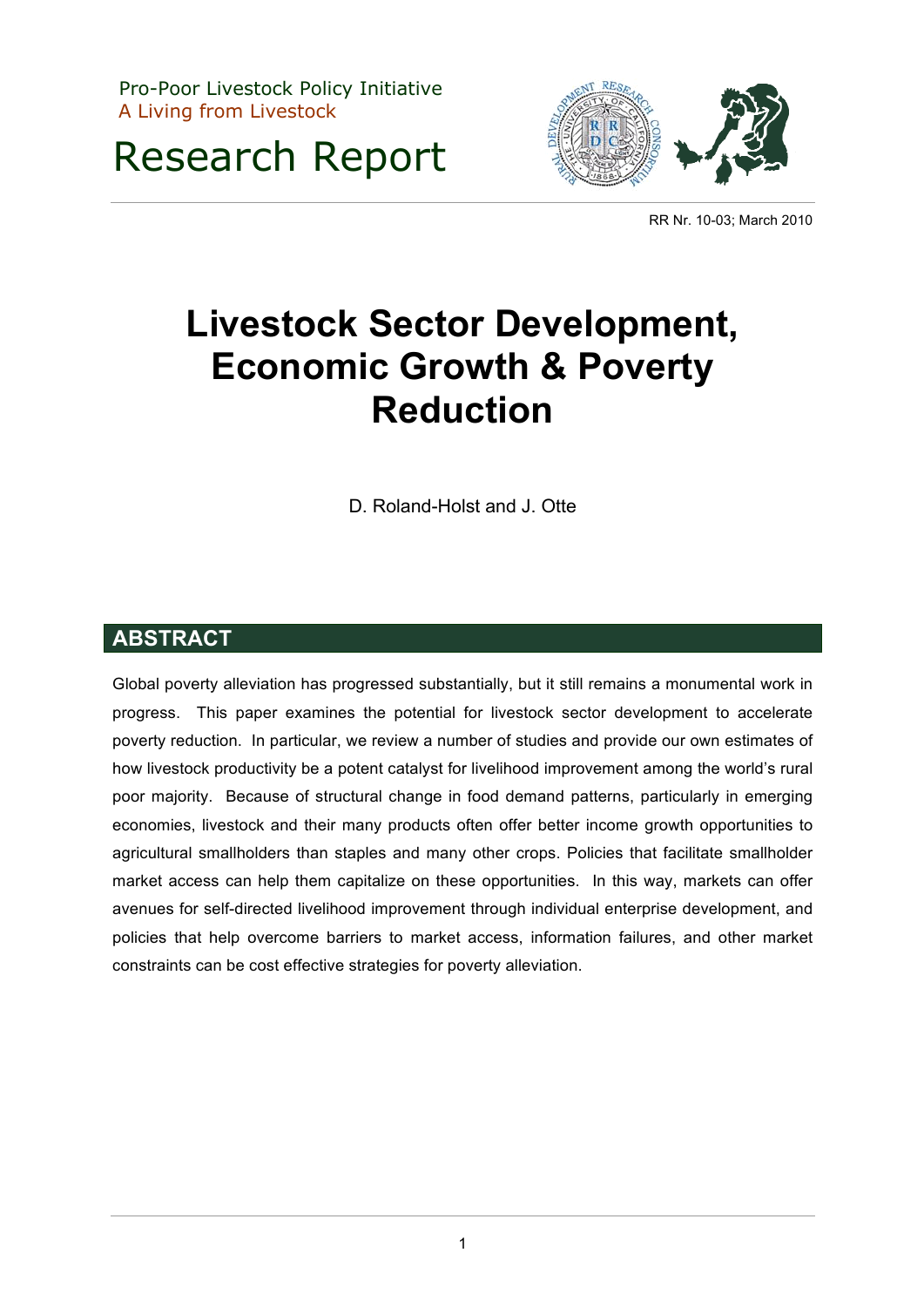Pro-Poor Livestock Policy Initiative A Living from Livestock

Research Report



RR Nr. 10-03; March 2010

# **Livestock Sector Development, Economic Growth & Poverty Reduction**

D. Roland-Holst and J. Otte

## **ABSTRACT**

Global poverty alleviation has progressed substantially, but it still remains a monumental work in progress. This paper examines the potential for livestock sector development to accelerate poverty reduction. In particular, we review a number of studies and provide our own estimates of how livestock productivity be a potent catalyst for livelihood improvement among the world's rural poor majority. Because of structural change in food demand patterns, particularly in emerging economies, livestock and their many products often offer better income growth opportunities to agricultural smallholders than staples and many other crops. Policies that facilitate smallholder market access can help them capitalize on these opportunities. In this way, markets can offer avenues for self-directed livelihood improvement through individual enterprise development, and policies that help overcome barriers to market access, information failures, and other market constraints can be cost effective strategies for poverty alleviation.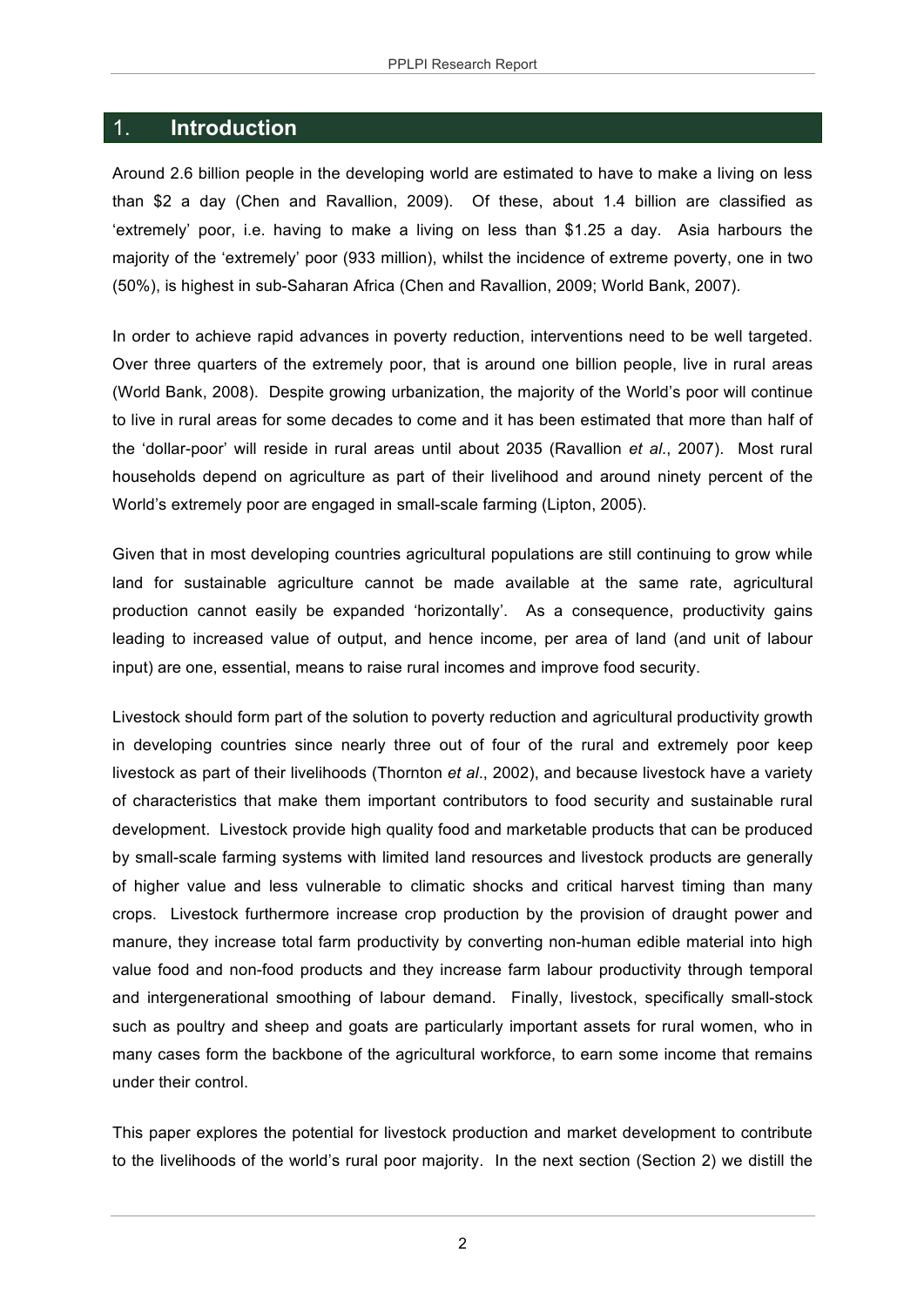#### 1. **Introduction**

Around 2.6 billion people in the developing world are estimated to have to make a living on less than \$2 a day (Chen and Ravallion, 2009). Of these, about 1.4 billion are classified as 'extremely' poor, i.e. having to make a living on less than \$1.25 a day. Asia harbours the majority of the 'extremely' poor (933 million), whilst the incidence of extreme poverty, one in two (50%), is highest in sub-Saharan Africa (Chen and Ravallion, 2009; World Bank, 2007).

In order to achieve rapid advances in poverty reduction, interventions need to be well targeted. Over three quarters of the extremely poor, that is around one billion people, live in rural areas (World Bank, 2008). Despite growing urbanization, the majority of the World's poor will continue to live in rural areas for some decades to come and it has been estimated that more than half of the 'dollar-poor' will reside in rural areas until about 2035 (Ravallion *et al*., 2007). Most rural households depend on agriculture as part of their livelihood and around ninety percent of the World's extremely poor are engaged in small-scale farming (Lipton, 2005).

Given that in most developing countries agricultural populations are still continuing to grow while land for sustainable agriculture cannot be made available at the same rate, agricultural production cannot easily be expanded 'horizontally'. As a consequence, productivity gains leading to increased value of output, and hence income, per area of land (and unit of labour input) are one, essential, means to raise rural incomes and improve food security.

Livestock should form part of the solution to poverty reduction and agricultural productivity growth in developing countries since nearly three out of four of the rural and extremely poor keep livestock as part of their livelihoods (Thornton *et al*., 2002), and because livestock have a variety of characteristics that make them important contributors to food security and sustainable rural development. Livestock provide high quality food and marketable products that can be produced by small-scale farming systems with limited land resources and livestock products are generally of higher value and less vulnerable to climatic shocks and critical harvest timing than many crops. Livestock furthermore increase crop production by the provision of draught power and manure, they increase total farm productivity by converting non-human edible material into high value food and non-food products and they increase farm labour productivity through temporal and intergenerational smoothing of labour demand. Finally, livestock, specifically small-stock such as poultry and sheep and goats are particularly important assets for rural women, who in many cases form the backbone of the agricultural workforce, to earn some income that remains under their control.

This paper explores the potential for livestock production and market development to contribute to the livelihoods of the world's rural poor majority. In the next section (Section 2) we distill the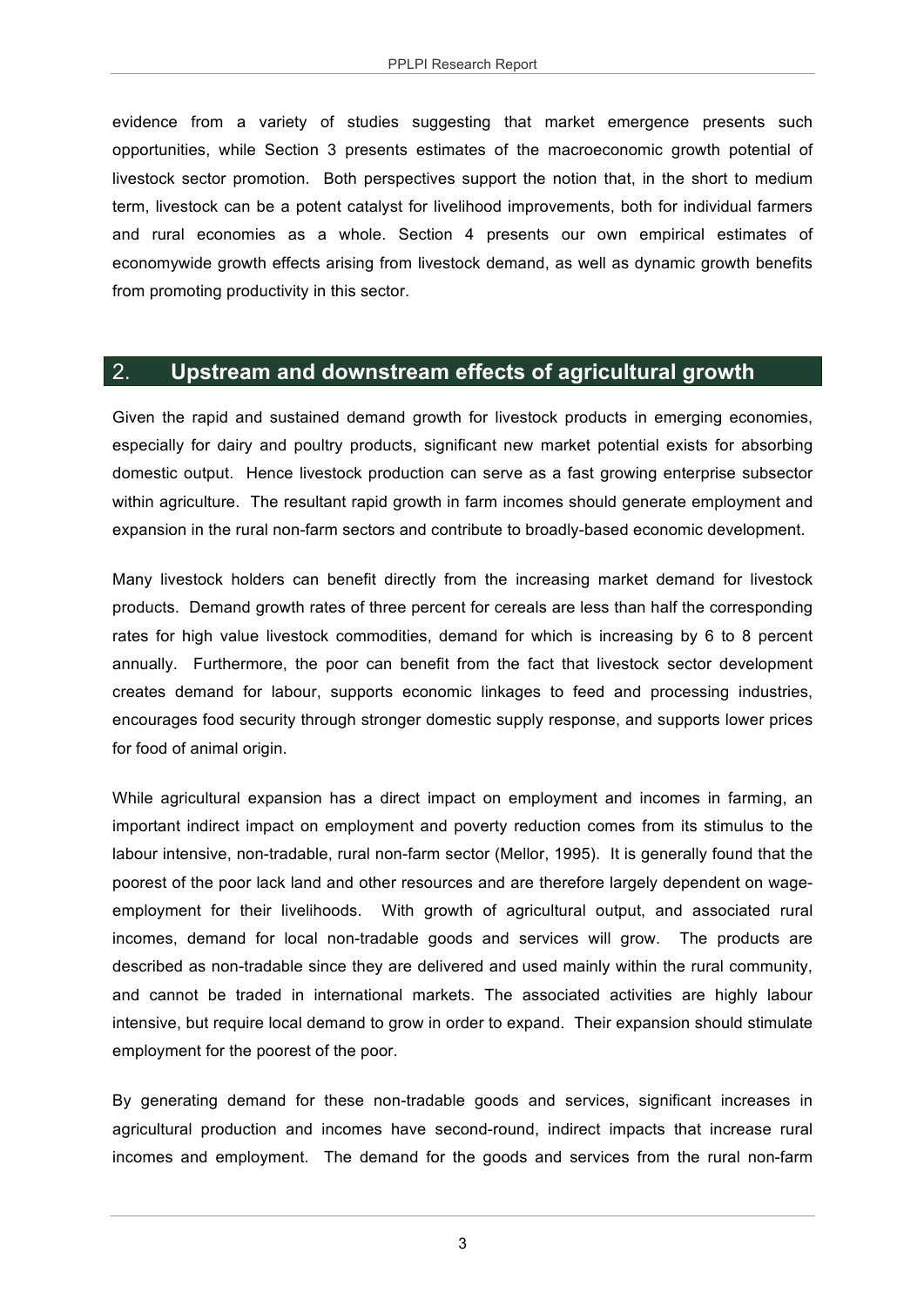evidence from a variety of studies suggesting that market emergence presents such opportunities, while Section 3 presents estimates of the macroeconomic growth potential of livestock sector promotion. Both perspectives support the notion that, in the short to medium term, livestock can be a potent catalyst for livelihood improvements, both for individual farmers and rural economies as a whole. Section 4 presents our own empirical estimates of economywide growth effects arising from livestock demand, as well as dynamic growth benefits from promoting productivity in this sector.

#### 2. **Upstream and downstream effects of agricultural growth**

Given the rapid and sustained demand growth for livestock products in emerging economies, especially for dairy and poultry products, significant new market potential exists for absorbing domestic output. Hence livestock production can serve as a fast growing enterprise subsector within agriculture. The resultant rapid growth in farm incomes should generate employment and expansion in the rural non-farm sectors and contribute to broadly-based economic development.

Many livestock holders can benefit directly from the increasing market demand for livestock products. Demand growth rates of three percent for cereals are less than half the corresponding rates for high value livestock commodities, demand for which is increasing by 6 to 8 percent annually. Furthermore, the poor can benefit from the fact that livestock sector development creates demand for labour, supports economic linkages to feed and processing industries, encourages food security through stronger domestic supply response, and supports lower prices for food of animal origin.

While agricultural expansion has a direct impact on employment and incomes in farming, an important indirect impact on employment and poverty reduction comes from its stimulus to the labour intensive, non-tradable, rural non-farm sector (Mellor, 1995). It is generally found that the poorest of the poor lack land and other resources and are therefore largely dependent on wageemployment for their livelihoods. With growth of agricultural output, and associated rural incomes, demand for local non-tradable goods and services will grow. The products are described as non-tradable since they are delivered and used mainly within the rural community, and cannot be traded in international markets. The associated activities are highly labour intensive, but require local demand to grow in order to expand. Their expansion should stimulate employment for the poorest of the poor.

By generating demand for these non-tradable goods and services, significant increases in agricultural production and incomes have second-round, indirect impacts that increase rural incomes and employment. The demand for the goods and services from the rural non-farm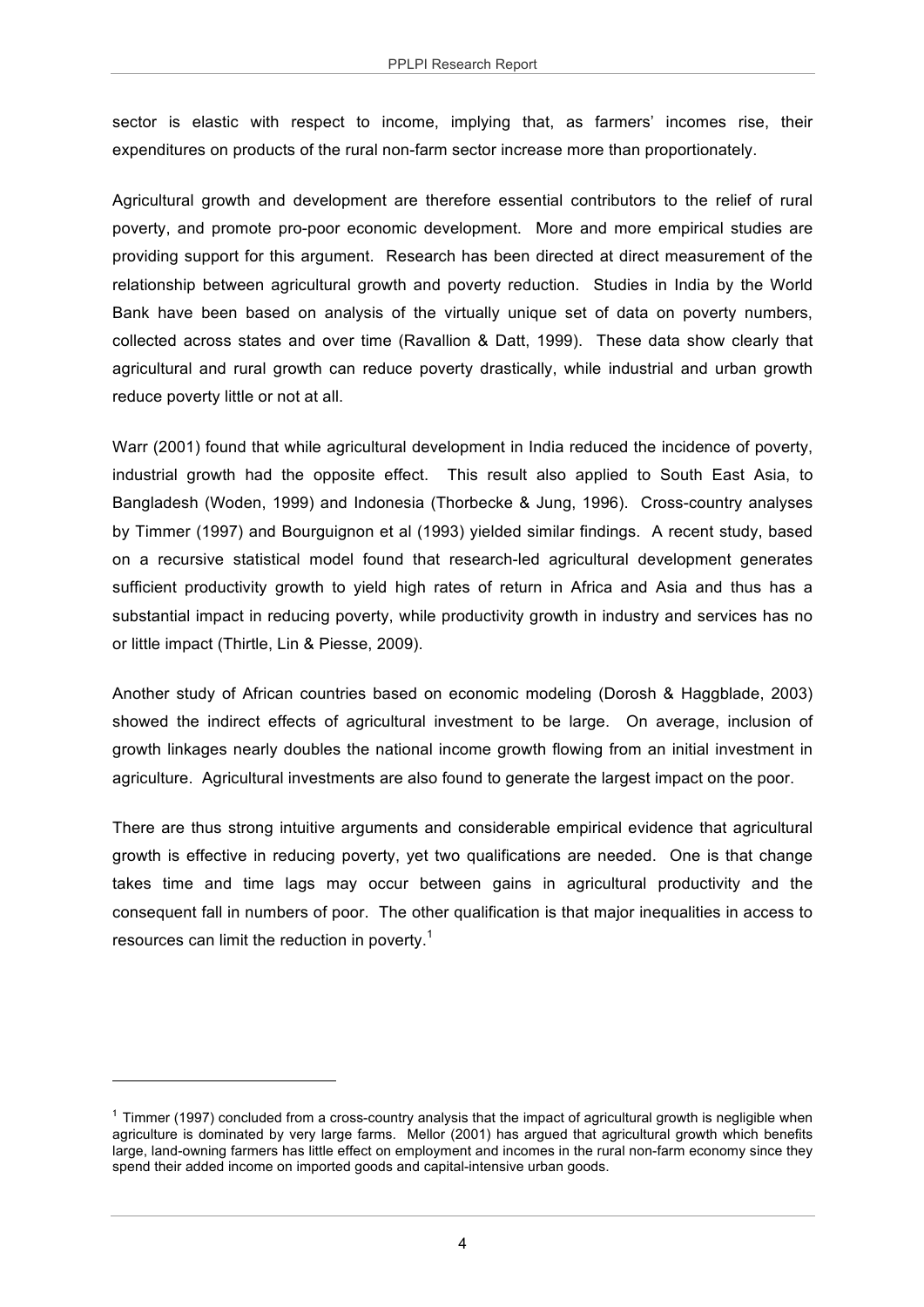sector is elastic with respect to income, implying that, as farmers' incomes rise, their expenditures on products of the rural non-farm sector increase more than proportionately.

Agricultural growth and development are therefore essential contributors to the relief of rural poverty, and promote pro-poor economic development. More and more empirical studies are providing support for this argument. Research has been directed at direct measurement of the relationship between agricultural growth and poverty reduction. Studies in India by the World Bank have been based on analysis of the virtually unique set of data on poverty numbers, collected across states and over time (Ravallion & Datt, 1999). These data show clearly that agricultural and rural growth can reduce poverty drastically, while industrial and urban growth reduce poverty little or not at all.

Warr (2001) found that while agricultural development in India reduced the incidence of poverty, industrial growth had the opposite effect. This result also applied to South East Asia, to Bangladesh (Woden, 1999) and Indonesia (Thorbecke & Jung, 1996). Cross-country analyses by Timmer (1997) and Bourguignon et al (1993) yielded similar findings. A recent study, based on a recursive statistical model found that research-led agricultural development generates sufficient productivity growth to yield high rates of return in Africa and Asia and thus has a substantial impact in reducing poverty, while productivity growth in industry and services has no or little impact (Thirtle, Lin & Piesse, 2009).

Another study of African countries based on economic modeling (Dorosh & Haggblade, 2003) showed the indirect effects of agricultural investment to be large. On average, inclusion of growth linkages nearly doubles the national income growth flowing from an initial investment in agriculture. Agricultural investments are also found to generate the largest impact on the poor.

There are thus strong intuitive arguments and considerable empirical evidence that agricultural growth is effective in reducing poverty, yet two qualifications are needed. One is that change takes time and time lags may occur between gains in agricultural productivity and the consequent fall in numbers of poor. The other qualification is that major inequalities in access to resources can limit the reduction in poverty.<sup>1</sup>

 $1$  Timmer (1997) concluded from a cross-country analysis that the impact of agricultural growth is negligible when agriculture is dominated by very large farms. Mellor (2001) has argued that agricultural growth which benefits large, land-owning farmers has little effect on employment and incomes in the rural non-farm economy since they spend their added income on imported goods and capital-intensive urban goods.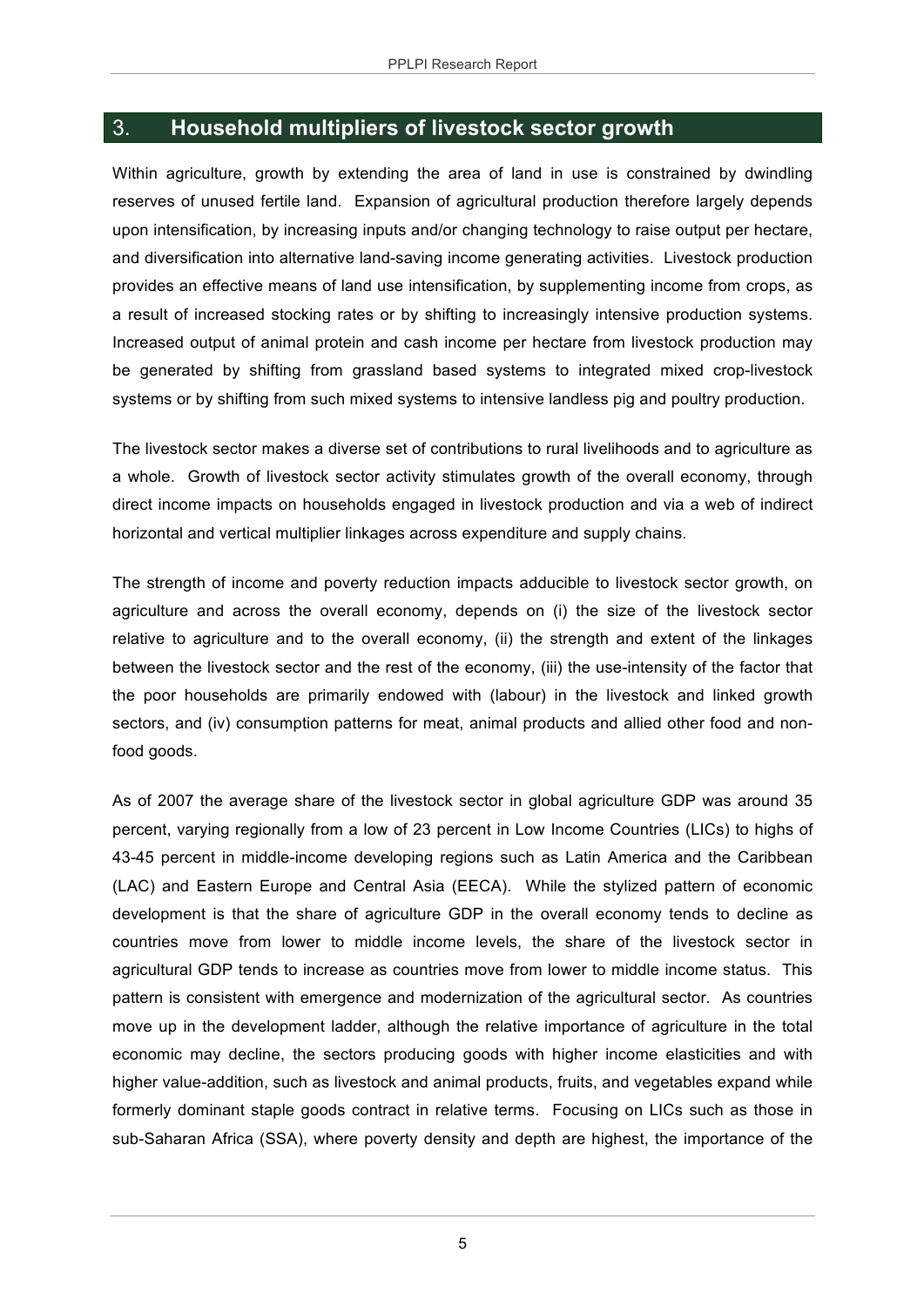## 3. **Household multipliers of livestock sector growth**

Within agriculture, growth by extending the area of land in use is constrained by dwindling reserves of unused fertile land. Expansion of agricultural production therefore largely depends upon intensification, by increasing inputs and/or changing technology to raise output per hectare, and diversification into alternative land-saving income generating activities. Livestock production provides an effective means of land use intensification, by supplementing income from crops, as a result of increased stocking rates or by shifting to increasingly intensive production systems. Increased output of animal protein and cash income per hectare from livestock production may be generated by shifting from grassland based systems to integrated mixed crop-livestock systems or by shifting from such mixed systems to intensive landless pig and poultry production.

The livestock sector makes a diverse set of contributions to rural livelihoods and to agriculture as a whole. Growth of livestock sector activity stimulates growth of the overall economy, through direct income impacts on households engaged in livestock production and via a web of indirect horizontal and vertical multiplier linkages across expenditure and supply chains.

The strength of income and poverty reduction impacts adducible to livestock sector growth, on agriculture and across the overall economy, depends on (i) the size of the livestock sector relative to agriculture and to the overall economy, (ii) the strength and extent of the linkages between the livestock sector and the rest of the economy, (iii) the use-intensity of the factor that the poor households are primarily endowed with (labour) in the livestock and linked growth sectors, and (iv) consumption patterns for meat, animal products and allied other food and nonfood goods.

As of 2007 the average share of the livestock sector in global agriculture GDP was around 35 percent, varying regionally from a low of 23 percent in Low Income Countries (LICs) to highs of 43-45 percent in middle-income developing regions such as Latin America and the Caribbean (LAC) and Eastern Europe and Central Asia (EECA). While the stylized pattern of economic development is that the share of agriculture GDP in the overall economy tends to decline as countries move from lower to middle income levels, the share of the livestock sector in agricultural GDP tends to increase as countries move from lower to middle income status. This pattern is consistent with emergence and modernization of the agricultural sector. As countries move up in the development ladder, although the relative importance of agriculture in the total economic may decline, the sectors producing goods with higher income elasticities and with higher value-addition, such as livestock and animal products, fruits, and vegetables expand while formerly dominant staple goods contract in relative terms. Focusing on LICs such as those in sub-Saharan Africa (SSA), where poverty density and depth are highest, the importance of the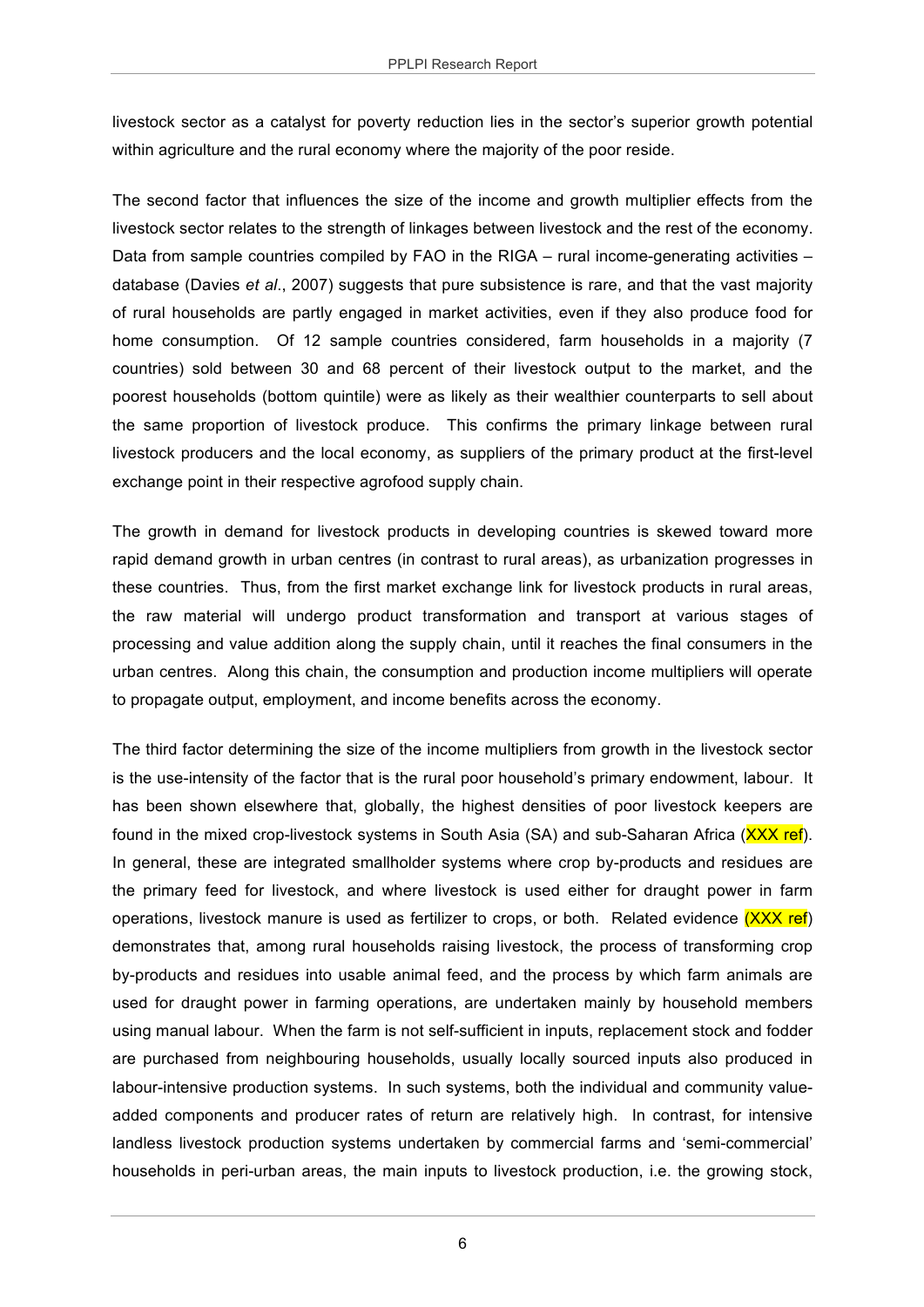livestock sector as a catalyst for poverty reduction lies in the sector's superior growth potential within agriculture and the rural economy where the majority of the poor reside.

The second factor that influences the size of the income and growth multiplier effects from the livestock sector relates to the strength of linkages between livestock and the rest of the economy. Data from sample countries compiled by FAO in the RIGA – rural income-generating activities – database (Davies *et al*., 2007) suggests that pure subsistence is rare, and that the vast majority of rural households are partly engaged in market activities, even if they also produce food for home consumption. Of 12 sample countries considered, farm households in a majority (7 countries) sold between 30 and 68 percent of their livestock output to the market, and the poorest households (bottom quintile) were as likely as their wealthier counterparts to sell about the same proportion of livestock produce. This confirms the primary linkage between rural livestock producers and the local economy, as suppliers of the primary product at the first-level exchange point in their respective agrofood supply chain.

The growth in demand for livestock products in developing countries is skewed toward more rapid demand growth in urban centres (in contrast to rural areas), as urbanization progresses in these countries. Thus, from the first market exchange link for livestock products in rural areas, the raw material will undergo product transformation and transport at various stages of processing and value addition along the supply chain, until it reaches the final consumers in the urban centres. Along this chain, the consumption and production income multipliers will operate to propagate output, employment, and income benefits across the economy.

The third factor determining the size of the income multipliers from growth in the livestock sector is the use-intensity of the factor that is the rural poor household's primary endowment, labour. It has been shown elsewhere that, globally, the highest densities of poor livestock keepers are found in the mixed crop-livestock systems in South Asia (SA) and sub-Saharan Africa (XXX ref). In general, these are integrated smallholder systems where crop by-products and residues are the primary feed for livestock, and where livestock is used either for draught power in farm operations, livestock manure is used as fertilizer to crops, or both. Related evidence  $(XXX ref)$ demonstrates that, among rural households raising livestock, the process of transforming crop by-products and residues into usable animal feed, and the process by which farm animals are used for draught power in farming operations, are undertaken mainly by household members using manual labour. When the farm is not self-sufficient in inputs, replacement stock and fodder are purchased from neighbouring households, usually locally sourced inputs also produced in labour-intensive production systems. In such systems, both the individual and community valueadded components and producer rates of return are relatively high. In contrast, for intensive landless livestock production systems undertaken by commercial farms and 'semi-commercial' households in peri-urban areas, the main inputs to livestock production, i.e. the growing stock,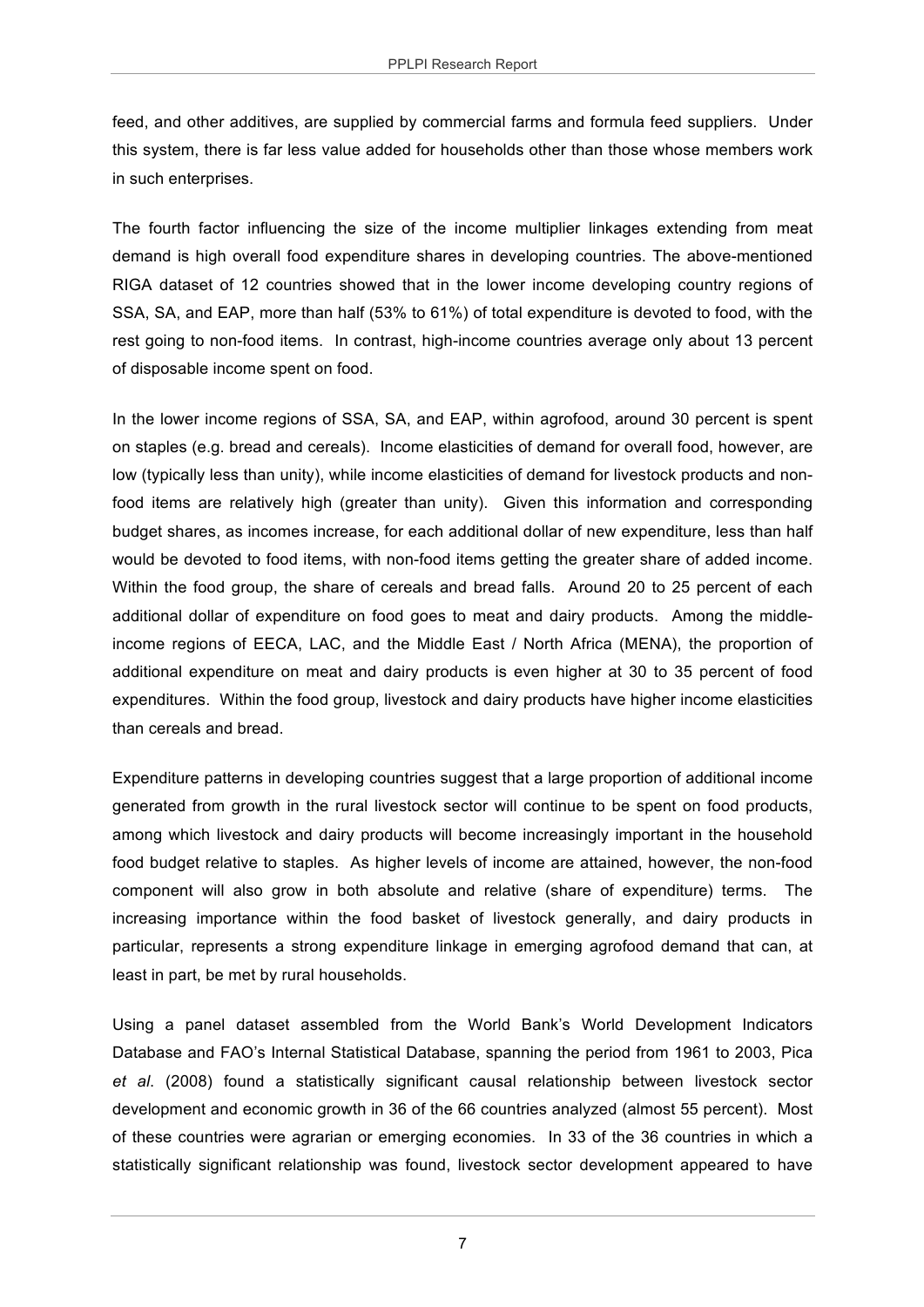feed, and other additives, are supplied by commercial farms and formula feed suppliers. Under this system, there is far less value added for households other than those whose members work in such enterprises.

The fourth factor influencing the size of the income multiplier linkages extending from meat demand is high overall food expenditure shares in developing countries. The above-mentioned RIGA dataset of 12 countries showed that in the lower income developing country regions of SSA, SA, and EAP, more than half (53% to 61%) of total expenditure is devoted to food, with the rest going to non-food items. In contrast, high-income countries average only about 13 percent of disposable income spent on food.

In the lower income regions of SSA, SA, and EAP, within agrofood, around 30 percent is spent on staples (e.g. bread and cereals). Income elasticities of demand for overall food, however, are low (typically less than unity), while income elasticities of demand for livestock products and nonfood items are relatively high (greater than unity). Given this information and corresponding budget shares, as incomes increase, for each additional dollar of new expenditure, less than half would be devoted to food items, with non-food items getting the greater share of added income. Within the food group, the share of cereals and bread falls. Around 20 to 25 percent of each additional dollar of expenditure on food goes to meat and dairy products. Among the middleincome regions of EECA, LAC, and the Middle East / North Africa (MENA), the proportion of additional expenditure on meat and dairy products is even higher at 30 to 35 percent of food expenditures. Within the food group, livestock and dairy products have higher income elasticities than cereals and bread.

Expenditure patterns in developing countries suggest that a large proportion of additional income generated from growth in the rural livestock sector will continue to be spent on food products, among which livestock and dairy products will become increasingly important in the household food budget relative to staples. As higher levels of income are attained, however, the non-food component will also grow in both absolute and relative (share of expenditure) terms. The increasing importance within the food basket of livestock generally, and dairy products in particular, represents a strong expenditure linkage in emerging agrofood demand that can, at least in part, be met by rural households.

Using a panel dataset assembled from the World Bank's World Development Indicators Database and FAO's Internal Statistical Database, spanning the period from 1961 to 2003, Pica *et al*. (2008) found a statistically significant causal relationship between livestock sector development and economic growth in 36 of the 66 countries analyzed (almost 55 percent). Most of these countries were agrarian or emerging economies. In 33 of the 36 countries in which a statistically significant relationship was found, livestock sector development appeared to have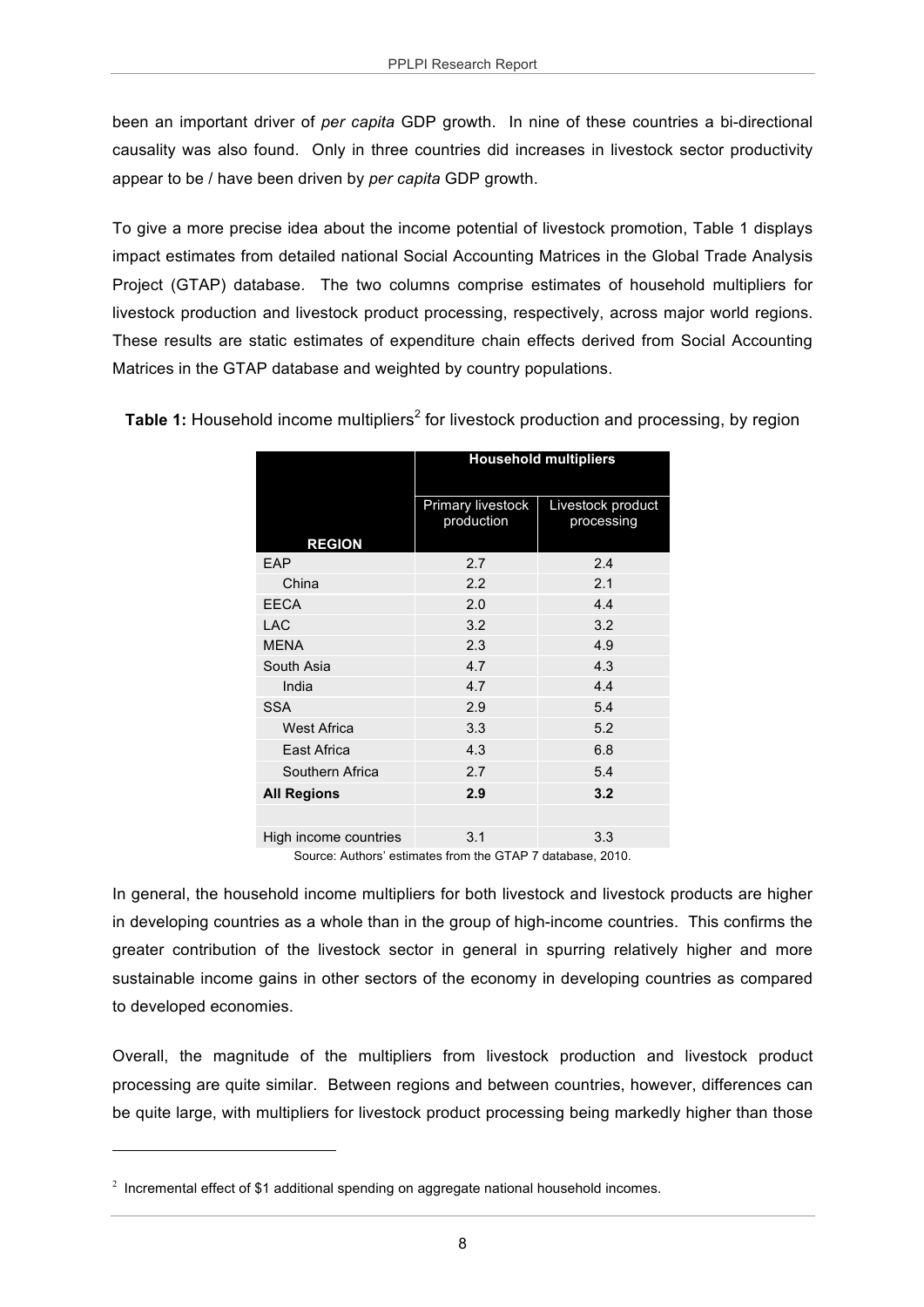been an important driver of *per capita* GDP growth. In nine of these countries a bi-directional causality was also found. Only in three countries did increases in livestock sector productivity appear to be / have been driven by *per capita* GDP growth.

To give a more precise idea about the income potential of livestock promotion, Table 1 displays impact estimates from detailed national Social Accounting Matrices in the Global Trade Analysis Project (GTAP) database. The two columns comprise estimates of household multipliers for livestock production and livestock product processing, respectively, across major world regions. These results are static estimates of expenditure chain effects derived from Social Accounting Matrices in the GTAP database and weighted by country populations.

|                       | <b>Household multipliers</b>    |                                 |  |  |
|-----------------------|---------------------------------|---------------------------------|--|--|
| <b>REGION</b>         | Primary livestock<br>production | Livestock product<br>processing |  |  |
| EAP                   | 2.7                             | 2.4                             |  |  |
| China                 | 2.2                             | 2.1                             |  |  |
| <b>EECA</b>           | 2.0                             | 4.4                             |  |  |
| <b>LAC</b>            | 3.2                             | 3.2                             |  |  |
| <b>MENA</b>           | 2.3                             | 4.9                             |  |  |
| South Asia            | 4.7                             | 4.3                             |  |  |
| India                 | 4.7                             | 4.4                             |  |  |
| <b>SSA</b>            | 2.9                             | 5.4                             |  |  |
| <b>West Africa</b>    | 3.3                             | 5.2                             |  |  |
| East Africa           | 4.3                             | 6.8                             |  |  |
| Southern Africa       | 2.7                             | 5.4                             |  |  |
| <b>All Regions</b>    | 2.9                             | 3.2                             |  |  |
|                       |                                 |                                 |  |  |
| High income countries | 3.1                             | 3.3                             |  |  |

**Table 1:** Household income multipliers<sup>2</sup> for livestock production and processing, by region

Source: Authors' estimates from the GTAP 7 database, 2010.

In general, the household income multipliers for both livestock and livestock products are higher in developing countries as a whole than in the group of high-income countries. This confirms the greater contribution of the livestock sector in general in spurring relatively higher and more sustainable income gains in other sectors of the economy in developing countries as compared to developed economies.

Overall, the magnitude of the multipliers from livestock production and livestock product processing are quite similar. Between regions and between countries, however, differences can be quite large, with multipliers for livestock product processing being markedly higher than those

 $\overline{a}$ 

<sup>&</sup>lt;sup>2</sup> Incremental effect of \$1 additional spending on aggregate national household incomes.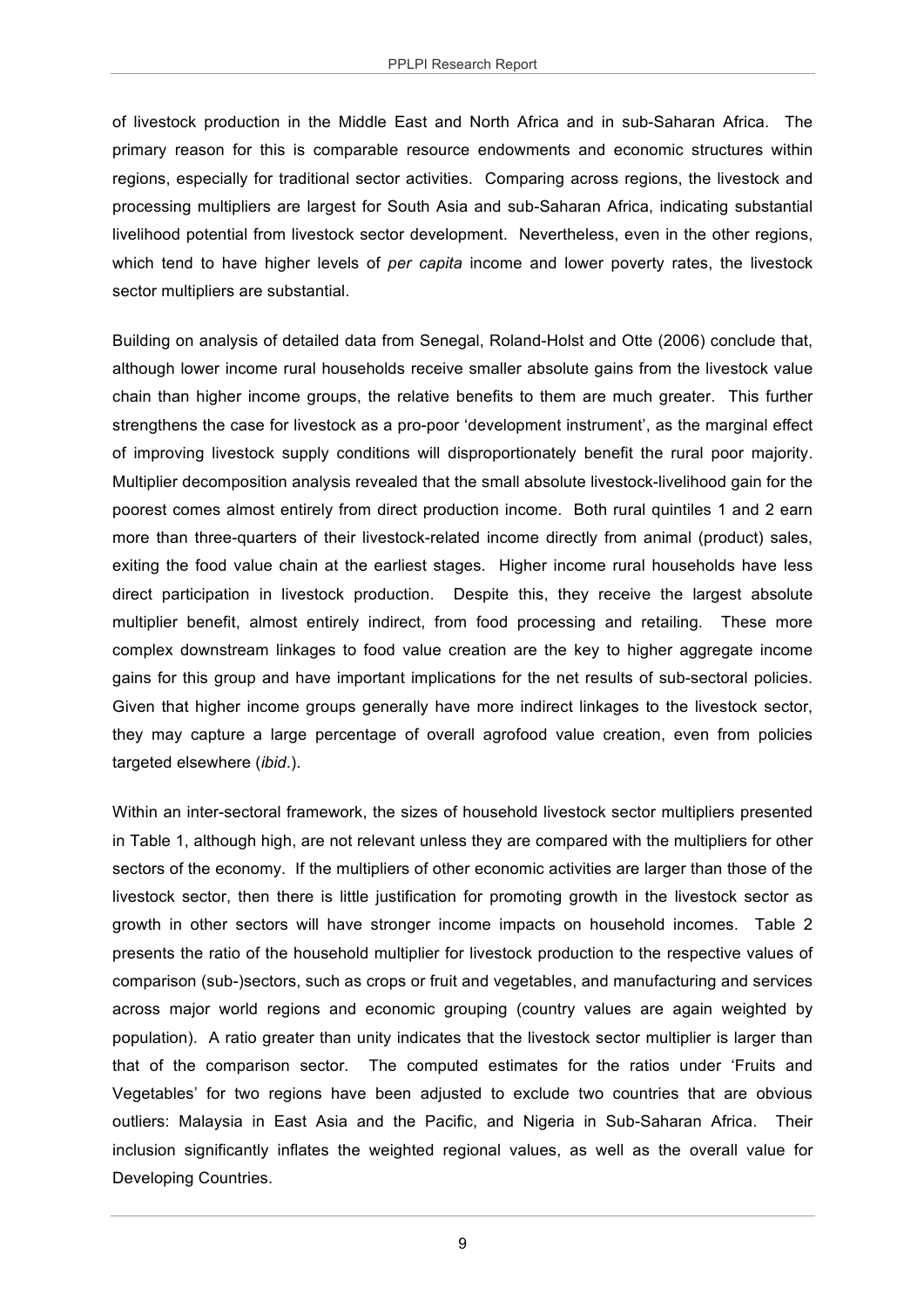of livestock production in the Middle East and North Africa and in sub-Saharan Africa. The primary reason for this is comparable resource endowments and economic structures within regions, especially for traditional sector activities. Comparing across regions, the livestock and processing multipliers are largest for South Asia and sub-Saharan Africa, indicating substantial livelihood potential from livestock sector development. Nevertheless, even in the other regions, which tend to have higher levels of *per capita* income and lower poverty rates, the livestock sector multipliers are substantial.

Building on analysis of detailed data from Senegal, Roland-Holst and Otte (2006) conclude that, although lower income rural households receive smaller absolute gains from the livestock value chain than higher income groups, the relative benefits to them are much greater. This further strengthens the case for livestock as a pro-poor 'development instrument', as the marginal effect of improving livestock supply conditions will disproportionately benefit the rural poor majority. Multiplier decomposition analysis revealed that the small absolute livestock-livelihood gain for the poorest comes almost entirely from direct production income. Both rural quintiles 1 and 2 earn more than three-quarters of their livestock-related income directly from animal (product) sales, exiting the food value chain at the earliest stages. Higher income rural households have less direct participation in livestock production. Despite this, they receive the largest absolute multiplier benefit, almost entirely indirect, from food processing and retailing. These more complex downstream linkages to food value creation are the key to higher aggregate income gains for this group and have important implications for the net results of sub-sectoral policies. Given that higher income groups generally have more indirect linkages to the livestock sector, they may capture a large percentage of overall agrofood value creation, even from policies targeted elsewhere (*ibid*.).

Within an inter-sectoral framework, the sizes of household livestock sector multipliers presented in Table 1, although high, are not relevant unless they are compared with the multipliers for other sectors of the economy. If the multipliers of other economic activities are larger than those of the livestock sector, then there is little justification for promoting growth in the livestock sector as growth in other sectors will have stronger income impacts on household incomes. Table 2 presents the ratio of the household multiplier for livestock production to the respective values of comparison (sub-)sectors, such as crops or fruit and vegetables, and manufacturing and services across major world regions and economic grouping (country values are again weighted by population). A ratio greater than unity indicates that the livestock sector multiplier is larger than that of the comparison sector. The computed estimates for the ratios under 'Fruits and Vegetables' for two regions have been adjusted to exclude two countries that are obvious outliers: Malaysia in East Asia and the Pacific, and Nigeria in Sub-Saharan Africa. Their inclusion significantly inflates the weighted regional values, as well as the overall value for Developing Countries.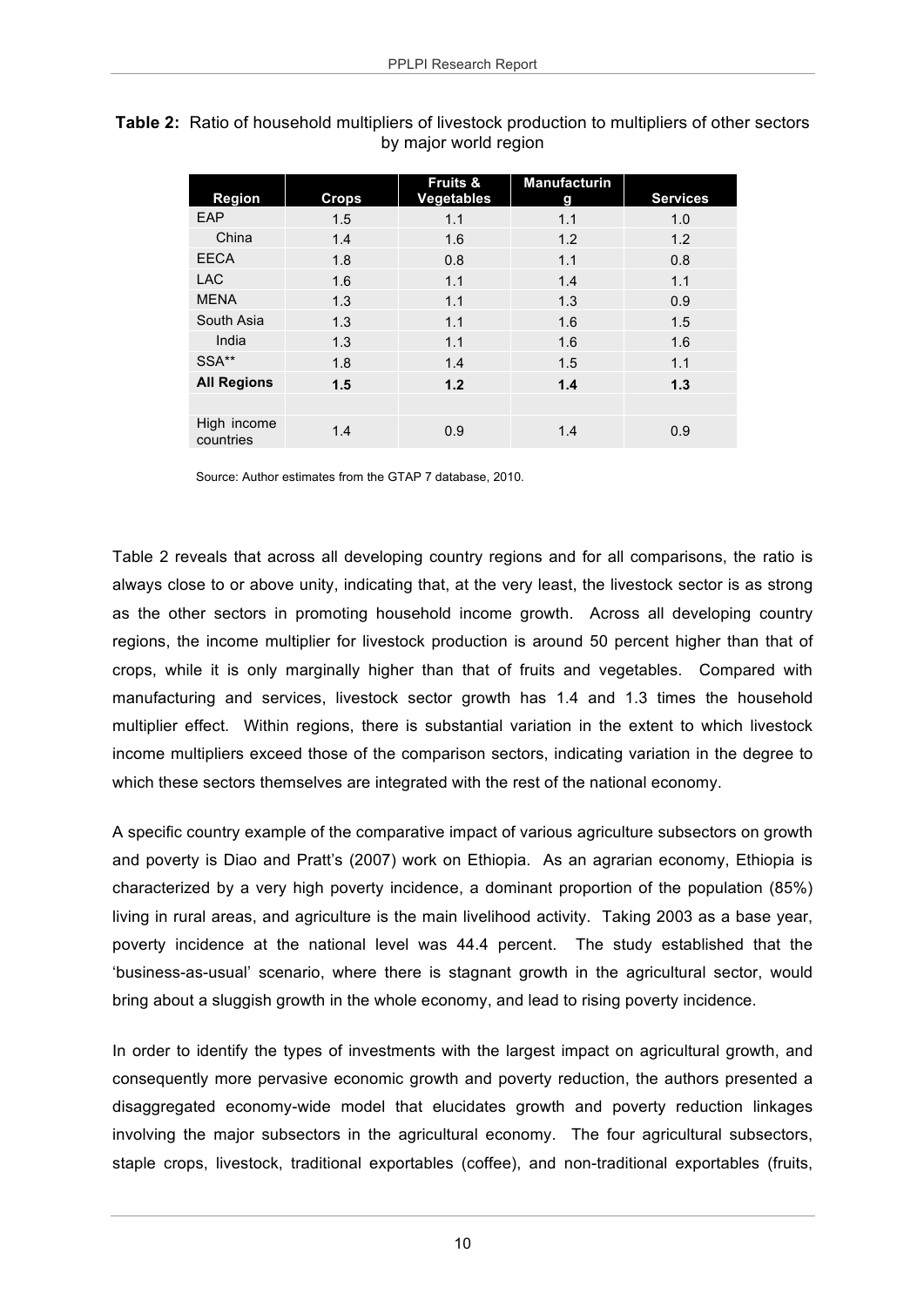|                          |       | Fruits &          | Manufacturin |                 |
|--------------------------|-------|-------------------|--------------|-----------------|
| <b>Region</b>            | Crops | <b>Vegetables</b> | g            | <b>Services</b> |
| EAP                      | 1.5   | 1.1               | 1.1          | 1.0             |
| China                    | 1.4   | 1.6               | 1.2          | 1.2             |
| <b>EECA</b>              | 1.8   | 0.8               | 1.1          | 0.8             |
| <b>LAC</b>               | 1.6   | 1.1               | 1.4          | 1.1             |
| <b>MENA</b>              | 1.3   | 1.1               | 1.3          | 0.9             |
| South Asia               | 1.3   | 1.1               | 1.6          | 1.5             |
| India                    | 1.3   | 1.1               | 1.6          | 1.6             |
| SSA**                    | 1.8   | 1.4               | 1.5          | 1.1             |
| <b>All Regions</b>       | 1.5   | 1.2               | 1.4          | 1.3             |
|                          |       |                   |              |                 |
| High income<br>countries | 1.4   | 0.9               | 1.4          | 0.9             |

**Table 2:** Ratio of household multipliers of livestock production to multipliers of other sectors by major world region

Source: Author estimates from the GTAP 7 database, 2010.

Table 2 reveals that across all developing country regions and for all comparisons, the ratio is always close to or above unity, indicating that, at the very least, the livestock sector is as strong as the other sectors in promoting household income growth. Across all developing country regions, the income multiplier for livestock production is around 50 percent higher than that of crops, while it is only marginally higher than that of fruits and vegetables. Compared with manufacturing and services, livestock sector growth has 1.4 and 1.3 times the household multiplier effect. Within regions, there is substantial variation in the extent to which livestock income multipliers exceed those of the comparison sectors, indicating variation in the degree to which these sectors themselves are integrated with the rest of the national economy.

A specific country example of the comparative impact of various agriculture subsectors on growth and poverty is Diao and Pratt's (2007) work on Ethiopia. As an agrarian economy, Ethiopia is characterized by a very high poverty incidence, a dominant proportion of the population (85%) living in rural areas, and agriculture is the main livelihood activity. Taking 2003 as a base year, poverty incidence at the national level was 44.4 percent. The study established that the 'business-as-usual' scenario, where there is stagnant growth in the agricultural sector, would bring about a sluggish growth in the whole economy, and lead to rising poverty incidence.

In order to identify the types of investments with the largest impact on agricultural growth, and consequently more pervasive economic growth and poverty reduction, the authors presented a disaggregated economy-wide model that elucidates growth and poverty reduction linkages involving the major subsectors in the agricultural economy. The four agricultural subsectors, staple crops, livestock, traditional exportables (coffee), and non-traditional exportables (fruits,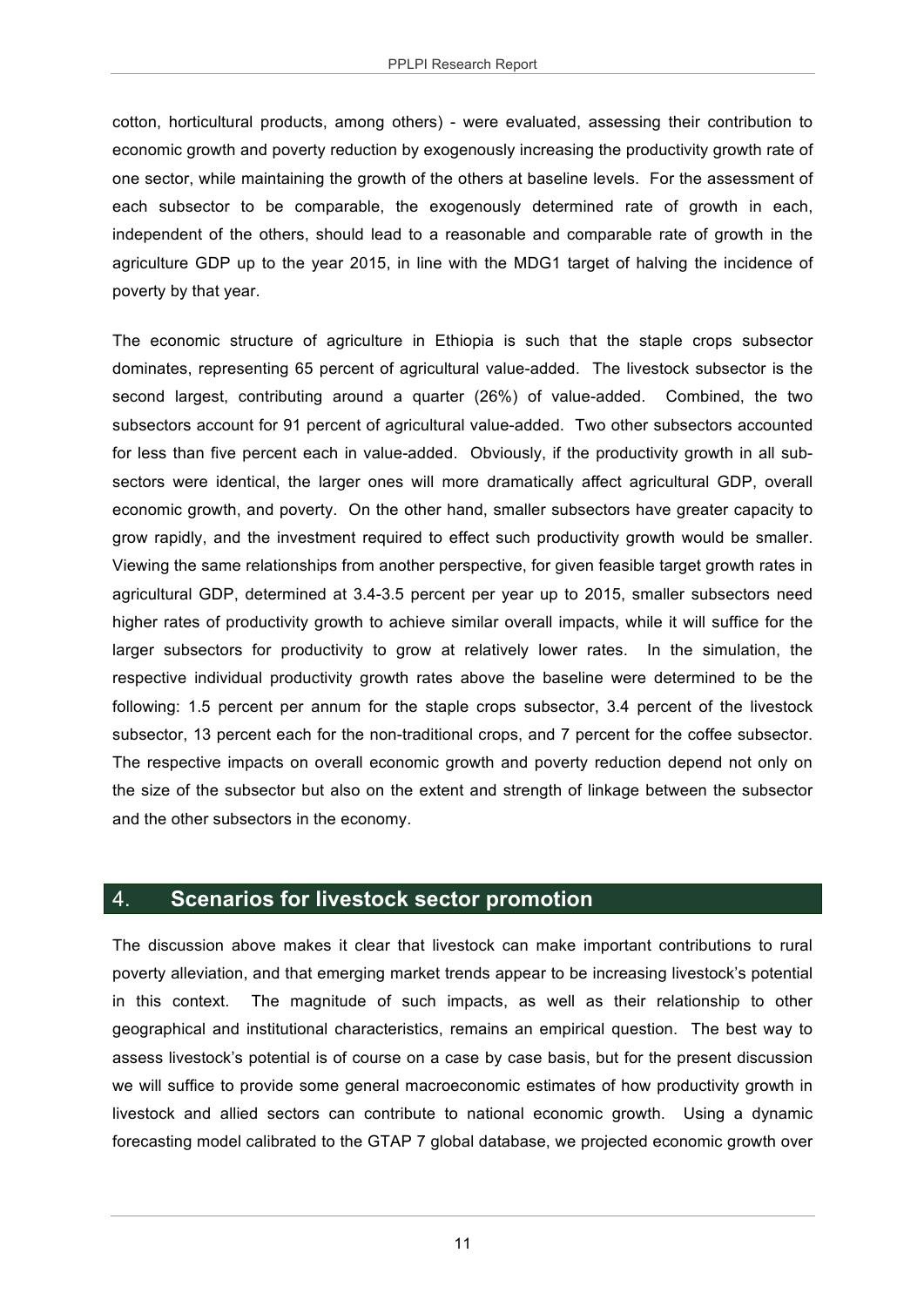cotton, horticultural products, among others) - were evaluated, assessing their contribution to economic growth and poverty reduction by exogenously increasing the productivity growth rate of one sector, while maintaining the growth of the others at baseline levels. For the assessment of each subsector to be comparable, the exogenously determined rate of growth in each, independent of the others, should lead to a reasonable and comparable rate of growth in the agriculture GDP up to the year 2015, in line with the MDG1 target of halving the incidence of poverty by that year.

The economic structure of agriculture in Ethiopia is such that the staple crops subsector dominates, representing 65 percent of agricultural value-added. The livestock subsector is the second largest, contributing around a quarter (26%) of value-added. Combined, the two subsectors account for 91 percent of agricultural value-added. Two other subsectors accounted for less than five percent each in value-added. Obviously, if the productivity growth in all subsectors were identical, the larger ones will more dramatically affect agricultural GDP, overall economic growth, and poverty. On the other hand, smaller subsectors have greater capacity to grow rapidly, and the investment required to effect such productivity growth would be smaller. Viewing the same relationships from another perspective, for given feasible target growth rates in agricultural GDP, determined at 3.4-3.5 percent per year up to 2015, smaller subsectors need higher rates of productivity growth to achieve similar overall impacts, while it will suffice for the larger subsectors for productivity to grow at relatively lower rates. In the simulation, the respective individual productivity growth rates above the baseline were determined to be the following: 1.5 percent per annum for the staple crops subsector, 3.4 percent of the livestock subsector, 13 percent each for the non-traditional crops, and 7 percent for the coffee subsector. The respective impacts on overall economic growth and poverty reduction depend not only on the size of the subsector but also on the extent and strength of linkage between the subsector and the other subsectors in the economy.

#### 4. **Scenarios for livestock sector promotion**

The discussion above makes it clear that livestock can make important contributions to rural poverty alleviation, and that emerging market trends appear to be increasing livestock's potential in this context. The magnitude of such impacts, as well as their relationship to other geographical and institutional characteristics, remains an empirical question. The best way to assess livestock's potential is of course on a case by case basis, but for the present discussion we will suffice to provide some general macroeconomic estimates of how productivity growth in livestock and allied sectors can contribute to national economic growth. Using a dynamic forecasting model calibrated to the GTAP 7 global database, we projected economic growth over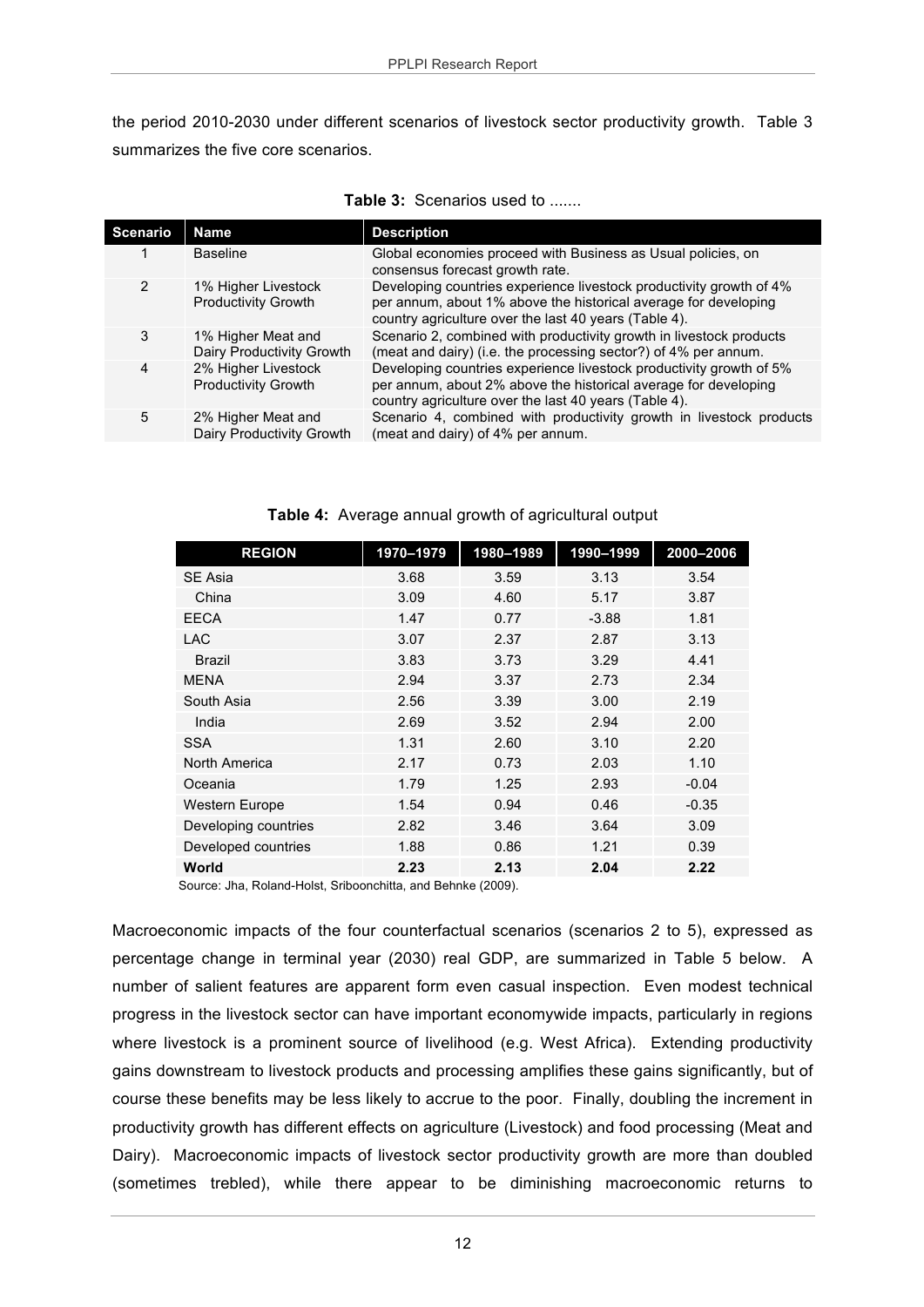the period 2010-2030 under different scenarios of livestock sector productivity growth. Table 3 summarizes the five core scenarios.

| <b>Scenario</b> | <b>Name</b>                                       | <b>Description</b>                                                                                                                                                                              |
|-----------------|---------------------------------------------------|-------------------------------------------------------------------------------------------------------------------------------------------------------------------------------------------------|
|                 | <b>Baseline</b>                                   | Global economies proceed with Business as Usual policies, on<br>consensus forecast growth rate.                                                                                                 |
| $\overline{2}$  | 1% Higher Livestock<br><b>Productivity Growth</b> | Developing countries experience livestock productivity growth of 4%<br>per annum, about 1% above the historical average for developing<br>country agriculture over the last 40 years (Table 4). |
| 3               | 1% Higher Meat and<br>Dairy Productivity Growth   | Scenario 2, combined with productivity growth in livestock products<br>(meat and dairy) (i.e. the processing sector?) of 4% per annum.                                                          |
| 4               | 2% Higher Livestock<br><b>Productivity Growth</b> | Developing countries experience livestock productivity growth of 5%<br>per annum, about 2% above the historical average for developing<br>country agriculture over the last 40 years (Table 4). |
| 5               | 2% Higher Meat and<br>Dairy Productivity Growth   | Scenario 4, combined with productivity growth in livestock products<br>(meat and dairy) of 4% per annum.                                                                                        |

| Table 4: Average annual growth of agricultural output |  |  |
|-------------------------------------------------------|--|--|
|                                                       |  |  |

| <b>REGION</b>        | 1970-1979 | 1980-1989 | 1990-1999 | 2000-2006 |
|----------------------|-----------|-----------|-----------|-----------|
| <b>SE Asia</b>       | 3.68      | 3.59      | 3.13      | 3.54      |
| China                | 3.09      | 4.60      | 5.17      | 3.87      |
| <b>EECA</b>          | 1.47      | 0.77      | $-3.88$   | 1.81      |
| <b>LAC</b>           | 3.07      | 2.37      | 2.87      | 3.13      |
| <b>Brazil</b>        | 3.83      | 3.73      | 3.29      | 4.41      |
| <b>MENA</b>          | 2.94      | 3.37      | 2.73      | 2.34      |
| South Asia           | 2.56      | 3.39      | 3.00      | 2.19      |
| India                | 2.69      | 3.52      | 2.94      | 2.00      |
| <b>SSA</b>           | 1.31      | 2.60      | 3.10      | 2.20      |
| North America        | 2.17      | 0.73      | 2.03      | 1.10      |
| Oceania              | 1.79      | 1.25      | 2.93      | $-0.04$   |
| Western Europe       | 1.54      | 0.94      | 0.46      | $-0.35$   |
| Developing countries | 2.82      | 3.46      | 3.64      | 3.09      |
| Developed countries  | 1.88      | 0.86      | 1.21      | 0.39      |
| World                | 2.23      | 2.13      | 2.04      | 2.22      |

Source: Jha, Roland-Holst, Sriboonchitta, and Behnke (2009).

Macroeconomic impacts of the four counterfactual scenarios (scenarios 2 to 5), expressed as percentage change in terminal year (2030) real GDP, are summarized in Table 5 below. A number of salient features are apparent form even casual inspection. Even modest technical progress in the livestock sector can have important economywide impacts, particularly in regions where livestock is a prominent source of livelihood (e.g. West Africa). Extending productivity gains downstream to livestock products and processing amplifies these gains significantly, but of course these benefits may be less likely to accrue to the poor. Finally, doubling the increment in productivity growth has different effects on agriculture (Livestock) and food processing (Meat and Dairy). Macroeconomic impacts of livestock sector productivity growth are more than doubled (sometimes trebled), while there appear to be diminishing macroeconomic returns to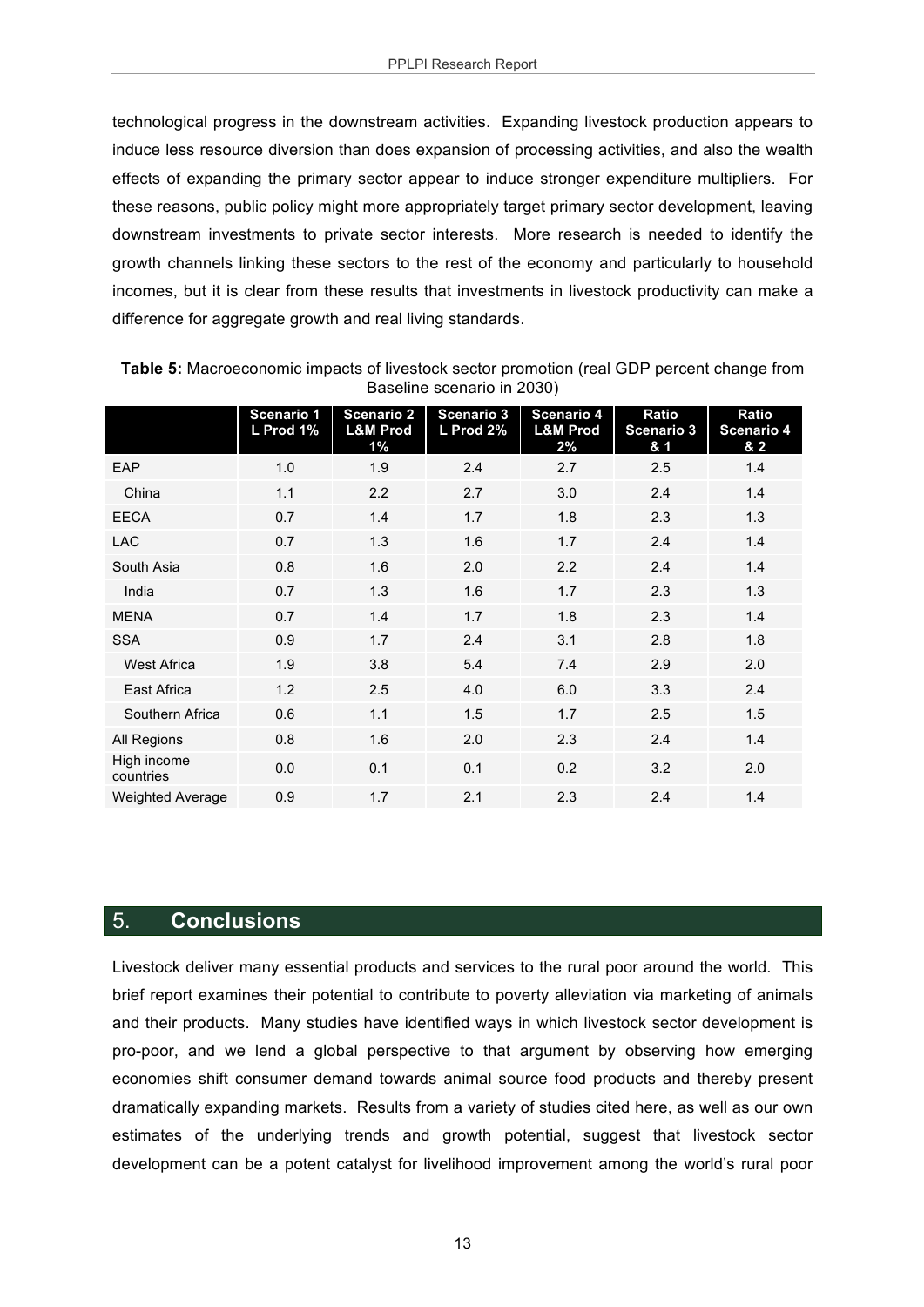technological progress in the downstream activities. Expanding livestock production appears to induce less resource diversion than does expansion of processing activities, and also the wealth effects of expanding the primary sector appear to induce stronger expenditure multipliers. For these reasons, public policy might more appropriately target primary sector development, leaving downstream investments to private sector interests. More research is needed to identify the growth channels linking these sectors to the rest of the economy and particularly to household incomes, but it is clear from these results that investments in livestock productivity can make a difference for aggregate growth and real living standards.

|                          | Scenario 1<br>L Prod 1% | <b>Scenario 2</b><br><b>L&amp;M Prod</b><br>$1\%$ | <b>Scenario 3</b><br>L Prod 2% | Scenario 4<br><b>L&amp;M Prod</b><br>2% | Ratio<br>Scenario <sub>3</sub><br>& 1 | Ratio<br><b>Scenario 4</b><br>& 2 |
|--------------------------|-------------------------|---------------------------------------------------|--------------------------------|-----------------------------------------|---------------------------------------|-----------------------------------|
| EAP                      | 1.0                     | 1.9                                               | 2.4                            | 2.7                                     | 2.5                                   | 1.4                               |
| China                    | 1.1                     | 2.2                                               | 2.7                            | 3.0                                     | 2.4                                   | 1.4                               |
| <b>EECA</b>              | 0.7                     | 1.4                                               | 1.7                            | 1.8                                     | 2.3                                   | 1.3                               |
| <b>LAC</b>               | 0.7                     | 1.3                                               | 1.6                            | 1.7                                     | 2.4                                   | 1.4                               |
| South Asia               | 0.8                     | 1.6                                               | 2.0                            | 2.2                                     | 2.4                                   | 1.4                               |
| India                    | 0.7                     | 1.3                                               | 1.6                            | 1.7                                     | 2.3                                   | 1.3                               |
| <b>MENA</b>              | 0.7                     | 1.4                                               | 1.7                            | 1.8                                     | 2.3                                   | 1.4                               |
| <b>SSA</b>               | 0.9                     | 1.7                                               | 2.4                            | 3.1                                     | 2.8                                   | 1.8                               |
| <b>West Africa</b>       | 1.9                     | 3.8                                               | 5.4                            | 7.4                                     | 2.9                                   | 2.0                               |
| East Africa              | 1.2                     | 2.5                                               | 4.0                            | 6.0                                     | 3.3                                   | 2.4                               |
| Southern Africa          | 0.6                     | 1.1                                               | 1.5                            | 1.7                                     | 2.5                                   | 1.5                               |
| All Regions              | 0.8                     | 1.6                                               | 2.0                            | 2.3                                     | 2.4                                   | 1.4                               |
| High income<br>countries | 0.0                     | 0.1                                               | 0.1                            | 0.2                                     | 3.2                                   | 2.0                               |
| <b>Weighted Average</b>  | 0.9                     | 1.7                                               | 2.1                            | 2.3                                     | 2.4                                   | 1.4                               |

**Table 5:** Macroeconomic impacts of livestock sector promotion (real GDP percent change from Baseline scenario in 2030)

### 5. **Conclusions**

Livestock deliver many essential products and services to the rural poor around the world. This brief report examines their potential to contribute to poverty alleviation via marketing of animals and their products. Many studies have identified ways in which livestock sector development is pro-poor, and we lend a global perspective to that argument by observing how emerging economies shift consumer demand towards animal source food products and thereby present dramatically expanding markets. Results from a variety of studies cited here, as well as our own estimates of the underlying trends and growth potential, suggest that livestock sector development can be a potent catalyst for livelihood improvement among the world's rural poor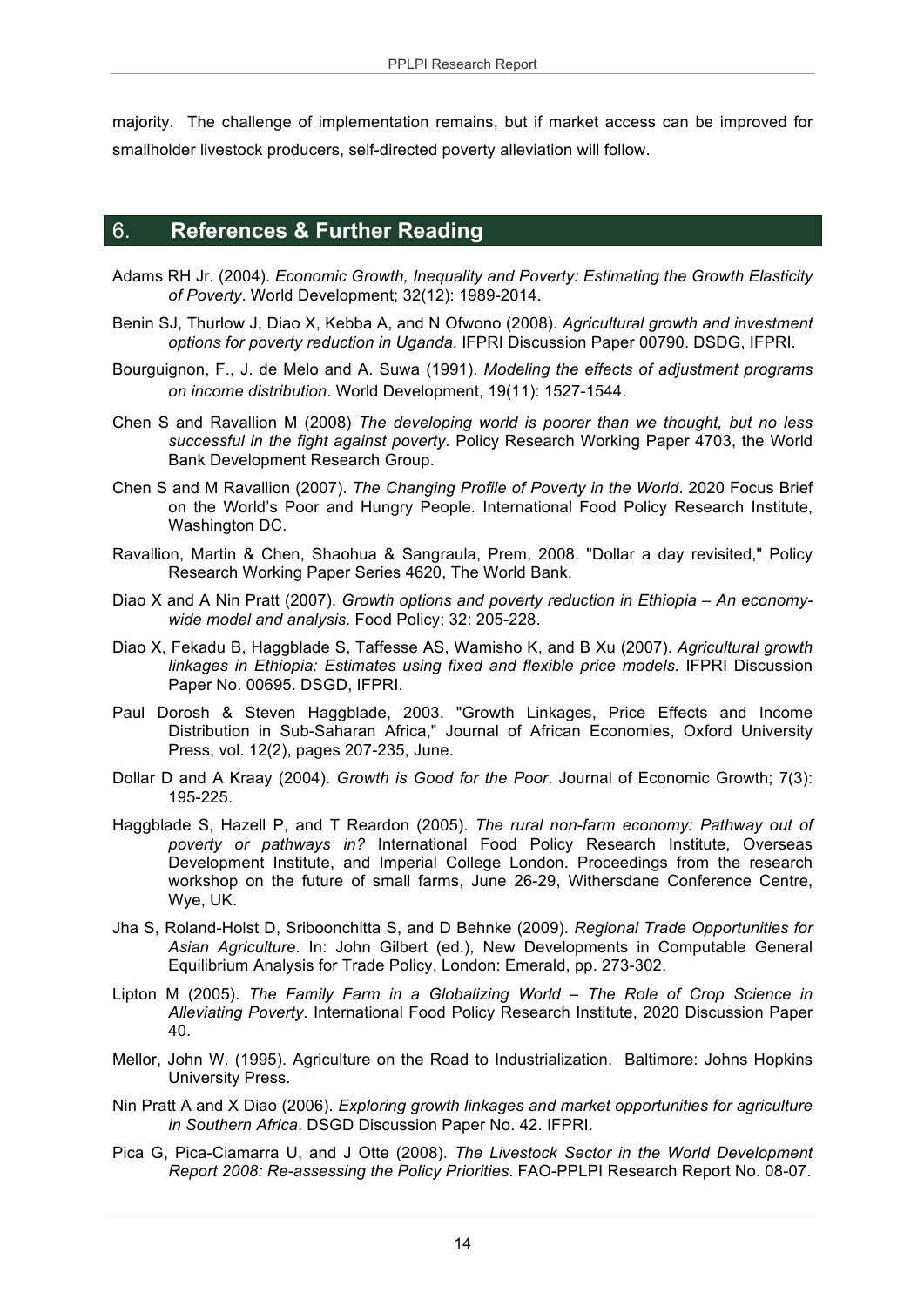majority. The challenge of implementation remains, but if market access can be improved for smallholder livestock producers, self-directed poverty alleviation will follow.

### 6. **References & Further Reading**

- Adams RH Jr. (2004). *Economic Growth, Inequality and Poverty: Estimating the Growth Elasticity of Poverty*. World Development; 32(12): 1989-2014.
- Benin SJ, Thurlow J, Diao X, Kebba A, and N Ofwono (2008). *Agricultural growth and investment options for poverty reduction in Uganda*. IFPRI Discussion Paper 00790. DSDG, IFPRI.
- Bourguignon, F., J. de Melo and A. Suwa (1991). *Modeling the effects of adjustment programs on income distribution*. World Development, 19(11): 1527-1544.
- Chen S and Ravallion M (2008) *The developing world is poorer than we thought, but no less successful in the fight against poverty*. Policy Research Working Paper 4703, the World Bank Development Research Group.
- Chen S and M Ravallion (2007). *The Changing Profile of Poverty in the World*. 2020 Focus Brief on the World's Poor and Hungry People. International Food Policy Research Institute, Washington DC.
- Ravallion, Martin & Chen, Shaohua & Sangraula, Prem, 2008. "Dollar a day revisited," Policy Research Working Paper Series 4620, The World Bank.
- Diao X and A Nin Pratt (2007). *Growth options and poverty reduction in Ethiopia – An economywide model and analysis*. Food Policy; 32: 205-228.
- Diao X, Fekadu B, Haggblade S, Taffesse AS, Wamisho K, and B Xu (2007). *Agricultural growth linkages in Ethiopia: Estimates using fixed and flexible price models*. IFPRI Discussion Paper No. 00695. DSGD, IFPRI.
- Paul Dorosh & Steven Haggblade, 2003. "Growth Linkages, Price Effects and Income Distribution in Sub-Saharan Africa," Journal of African Economies, Oxford University Press, vol. 12(2), pages 207-235, June.
- Dollar D and A Kraay (2004). *Growth is Good for the Poor*. Journal of Economic Growth; 7(3): 195-225.
- Haggblade S, Hazell P, and T Reardon (2005). *The rural non-farm economy: Pathway out of poverty or pathways in?* International Food Policy Research Institute, Overseas Development Institute, and Imperial College London. Proceedings from the research workshop on the future of small farms, June 26-29, Withersdane Conference Centre, Wye, UK.
- Jha S, Roland-Holst D, Sriboonchitta S, and D Behnke (2009). *Regional Trade Opportunities for Asian Agriculture*. In: John Gilbert (ed.), New Developments in Computable General Equilibrium Analysis for Trade Policy, London: Emerald, pp. 273-302.
- Lipton M (2005). *The Family Farm in a Globalizing World – The Role of Crop Science in Alleviating Poverty*. International Food Policy Research Institute, 2020 Discussion Paper 40.
- Mellor, John W. (1995). Agriculture on the Road to Industrialization. Baltimore: Johns Hopkins University Press.
- Nin Pratt A and X Diao (2006). *Exploring growth linkages and market opportunities for agriculture in Southern Africa*. DSGD Discussion Paper No. 42. IFPRI.
- Pica G, Pica-Ciamarra U, and J Otte (2008). *The Livestock Sector in the World Development Report 2008: Re-assessing the Policy Priorities*. FAO-PPLPI Research Report No. 08-07.